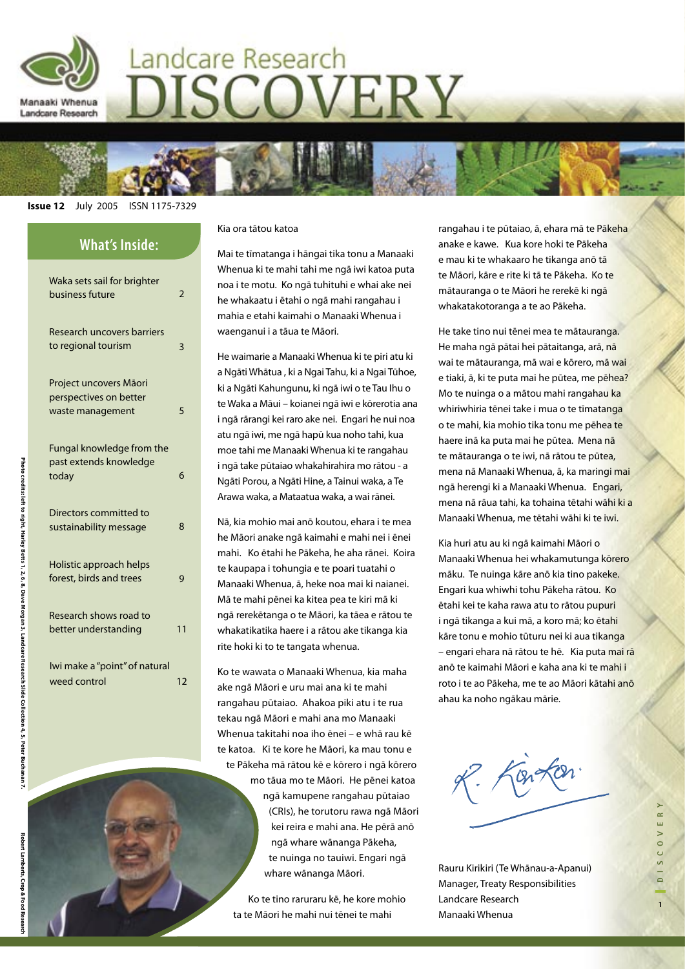

# Landcare Research ISCOVERY



#### **Issue 12** July 2005 ISSN 1175-7329

| <b>What's Inside:</b>                                                |    |
|----------------------------------------------------------------------|----|
| Waka sets sail for brighter<br>business future                       | 2  |
| Research uncovers barriers<br>to regional tourism                    | 3  |
| Project uncovers Māori<br>perspectives on better<br>waste management | 5  |
| Fungal knowledge from the<br>past extends knowledge<br>today         | 6  |
| Directors committed to<br>sustainability message                     | 8  |
| Holistic approach helps<br>forest, birds and trees                   | 9  |
| Research shows road to<br>better understanding                       | 11 |
| Iwi make a "point" of natural<br>weed control                        | 12 |

#### Kia ora tātou katoa

Mai te tīmatanga i hāngai tika tonu a Manaaki Whenua ki te mahi tahi me ngā iwi katoa puta noa i te motu. Ko ngā tuhituhi e whai ake nei he whakaatu i ētahi o ngā mahi rangahau i mahia e etahi kaimahi o Manaaki Whenua i waenganui i a tāua te Māori.

He waimarie a Manaaki Whenua ki te piri atu ki a Ngāti Whātua , ki a Ngai Tahu, ki a Ngai Tūhoe, ki a Ngāti Kahungunu, ki ngā iwi o te Tau Ihu o te Waka a Māui – koianei ngā iwi e kōrerotia ana i ngā rārangi kei raro ake nei. Engari he nui noa atu ngā iwi, me ngā hapū kua noho tahi, kua moe tahi me Manaaki Whenua ki te rangahau i ngā take pūtaiao whakahirahira mo rātou - a Ngāti Porou, a Ngāti Hine, a Tainui waka, a Te Arawa waka, a Mataatua waka, a wai rānei.

Nā, kia mohio mai anō koutou, ehara i te mea he Māori anake ngā kaimahi e mahi nei i ēnei mahi. Ko ētahi he Pākeha, he aha rānei. Koira te kaupapa i tohungia e te poari tuatahi o Manaaki Whenua, ā, heke noa mai ki naianei. Mā te mahi pēnei ka kitea pea te kiri mā ki ngā rerekētanga o te Māori, ka tāea e rātou te whakatikatika haere i a rātou ake tikanga kia rite hoki ki to te tangata whenua.

Ko te wawata o Manaaki Whenua, kia maha ake ngā Māori e uru mai ana ki te mahi rangahau pūtaiao. Ahakoa piki atu i te rua tekau ngā Māori e mahi ana mo Manaaki Whenua takitahi noa iho ēnei – e whā rau kē te katoa. Ki te kore he Māori, ka mau tonu e te Pākeha mā rātou kē e kōrero i ngā kōrero mo tāua mo te Māori. He pēnei katoa ngā kamupene rangahau pūtaiao (CRIs), he torutoru rawa ngā Māori kei reira e mahi ana. He pērā anō ngā whare wānanga Pākeha, te nuinga no tauiwi. Engari ngā whare wānanga Māori.

Ko te tino raruraru kē, he kore mohio ta te Māori he mahi nui tēnei te mahi

rangahau i te pūtaiao, ā, ehara mā te Pākeha anake e kawe. Kua kore hoki te Pākeha e mau ki te whakaaro he tikanga anō tā te Māori, kāre e rite ki tā te Pākeha. Ko te mātauranga o te Māori he rerekē ki ngā whakatakotoranga a te ao Pākeha.

He take tino nui tēnei mea te mātauranga. He maha ngā pātai hei pātaitanga, arā, nā wai te mātauranga, mā wai e kōrero, mā wai e tiaki, ā, ki te puta mai he pūtea, me pēhea? Mo te nuinga o a mātou mahi rangahau ka whiriwhiria tēnei take i mua o te tīmatanga o te mahi, kia mohio tika tonu me pēhea te haere inā ka puta mai he pūtea. Mena nā te mātauranga o te iwi, nā rātou te pūtea, mena nā Manaaki Whenua, ā, ka maringi mai ngā herengi ki a Manaaki Whenua. Engari, mena nā rāua tahi, ka tohaina tētahi wāhi ki a Manaaki Whenua, me tētahi wāhi ki te iwi.

Kia huri atu au ki ngā kaimahi Māori o Manaaki Whenua hei whakamutunga kōrero māku. Te nuinga kāre anō kia tino pakeke. Engari kua whiwhi tohu Pākeha rātou. Ko ētahi kei te kaha rawa atu to rātou pupuri i ngā tikanga a kui mā, a koro mā; ko ētahi kāre tonu e mohio tūturu nei ki aua tikanga – engari ehara nā rātou te hē. Kia puta mai rā anō te kaimahi Māori e kaha ana ki te mahi i roto i te ao Pākeha, me te ao Māori kātahi anō ahau ka noho ngākau mārie.



Rauru Kirikiri (Te Whānau-a-Apanui) Manager, Treaty Responsibilities Landcare Research Manaaki Whenua

Photo credits: left to right, Harley Betts 1, 2, 6, 8, Dave Morgan 3, Landcare Research Slide Collection 4, 5, Peter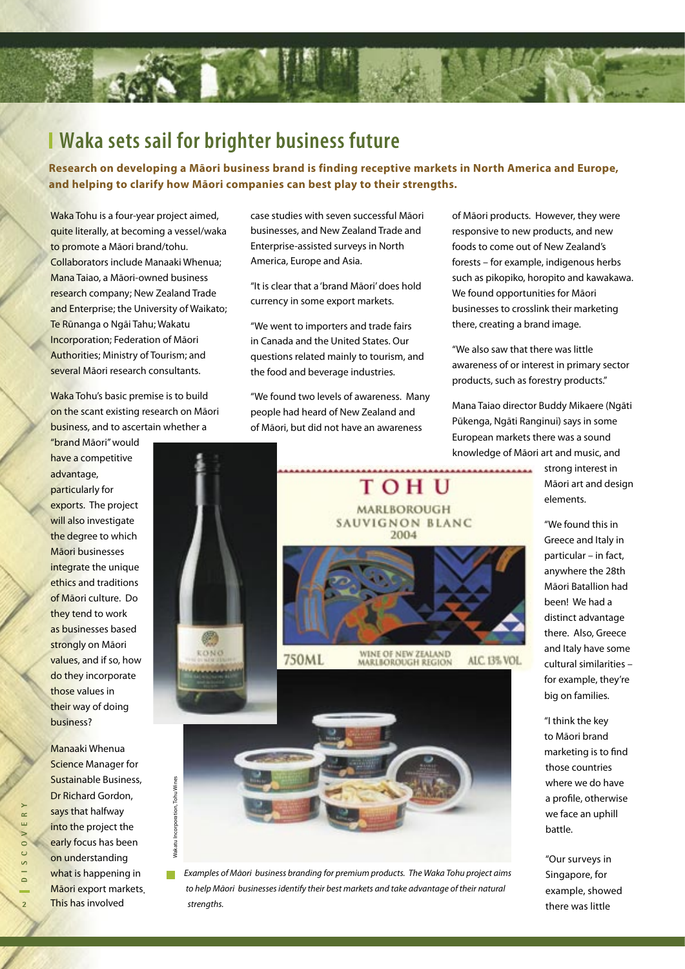# **Waka sets sail for brighter business future**

**Research on developing a Māori business brand is finding receptive markets in North America and Europe, and helping to clarify how Māori companies can best play to their strengths.** 

Waka Tohu is a four-year project aimed, quite literally, at becoming a vessel/waka to promote a Māori brand/tohu. Collaborators include Manaaki Whenua; Mana Taiao, a Māori-owned business research company; New Zealand Trade and Enterprise; the University of Waikato; Te Rūnanga o Ngāi Tahu; Wakatu Incorporation; Federation of Māori Authorities; Ministry of Tourism; and several Māori research consultants.

Waka Tohu's basic premise is to build on the scant existing research on Māori business, and to ascertain whether a

have a competitive advantage, particularly for exports. The project will also investigate the degree to which Māori businesses integrate the unique ethics and traditions of Māori culture. Do they tend to work as businesses based strongly on Māori values, and if so, how do they incorporate those values in their way of doing business?

"brand Māori" would

Manaaki Whenua **Science Manager for** Sustainable Business, Dr Richard Gordon, says that halfway into the project the early focus has been on understanding what is happening in Māori export markets. This has involved

Wakatu Incorporation, Tohu Wines

Vakatu Incorporation, Tohu Wines

case studies with seven successful Māori businesses, and New Zealand Trade and Enterprise-assisted surveys in North America, Europe and Asia.

"It is clear that a 'brand Māori' does hold currency in some export markets.

"We went to importers and trade fairs in Canada and the United States. Our questions related mainly to tourism, and the food and beverage industries.

"We found two levels of awareness. Many people had heard of New Zealand and of Māori, but did not have an awareness

of Māori products. However, they were responsive to new products, and new foods to come out of New Zealand's forests – for example, indigenous herbs such as pikopiko, horopito and kawakawa. We found opportunities for Māori businesses to crosslink their marketing there, creating a brand image.

"We also saw that there was little awareness of or interest in primary sector products, such as forestry products."

Mana Taiao director Buddy Mikaere (Ngāti Pūkenga, Ngāti Ranginui) says in some European markets there was a sound knowledge of Māori art and music, and



 $\Box$ Examples of Māori business branding for premium products. The Waka Tohu project aims to help Māori businesses identify their best markets and take advantage of their natural strengths.

strong interest in Māori art and design elements.

"We found this in Greece and Italy in particular – in fact, anywhere the 28th Māori Batallion had been! We had a distinct advantage there. Also, Greece and Italy have some cultural similarities – for example, they're big on families.

"I think the key to Māori brand marketing is to find those countries where we do have a profile, otherwise we face an uphill battle.

"Our surveys in Singapore, for example, showed there was little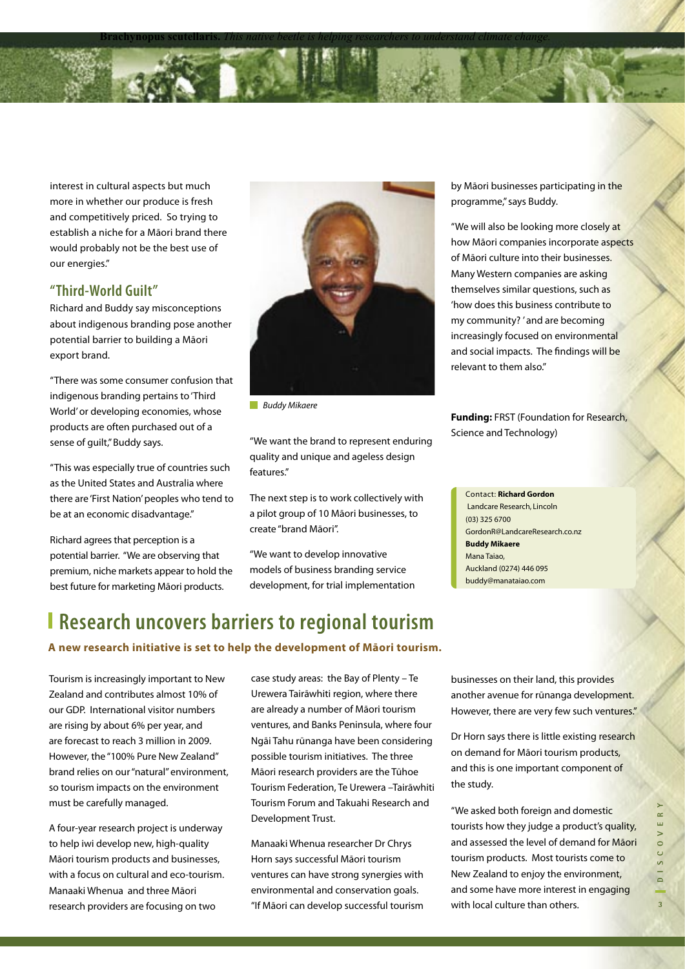**Brachynopus scutellaris.** *This native beetle is helping researchers to understand climate change.*

interest in cultural aspects but much more in whether our produce is fresh and competitively priced. So trying to establish a niche for a Māori brand there would probably not be the best use of our energies."

#### **"Third-World Guilt"**

Richard and Buddy say misconceptions about indigenous branding pose another potential barrier to building a Māori export brand.

"There was some consumer confusion that indigenous branding pertains to 'Third World' or developing economies, whose products are often purchased out of a sense of guilt," Buddy says.

"This was especially true of countries such as the United States and Australia where there are 'First Nation' peoples who tend to be at an economic disadvantage."

Richard agrees that perception is a potential barrier. "We are observing that premium, niche markets appear to hold the best future for marketing Māori products.



**Buddy Mikaere** 

"We want the brand to represent enduring quality and unique and ageless design features."

The next step is to work collectively with a pilot group of 10 Māori businesses, to create "brand Māori".

"We want to develop innovative models of business branding service development, for trial implementation

### **Research uncovers barriers to regional tourism**

#### **A new research initiative is set to help the development of Māori tourism.**

Tourism is increasingly important to New Zealand and contributes almost 10% of our GDP. International visitor numbers are rising by about 6% per year, and are forecast to reach 3 million in 2009. However, the "100% Pure New Zealand" brand relies on our "natural" environment, so tourism impacts on the environment must be carefully managed.

A four-year research project is underway to help iwi develop new, high-quality Māori tourism products and businesses, with a focus on cultural and eco-tourism. Manaaki Whenua and three Māori research providers are focusing on two

case study areas: the Bay of Plenty – Te Urewera Tairāwhiti region, where there are already a number of Māori tourism ventures, and Banks Peninsula, where four Ngāi Tahu rūnanga have been considering possible tourism initiatives. The three Māori research providers are the Tūhoe Tourism Federation, Te Urewera –Tairāwhiti Tourism Forum and Takuahi Research and Development Trust.

Manaaki Whenua researcher Dr Chrys Horn says successful Māori tourism ventures can have strong synergies with environmental and conservation goals. "If Māori can develop successful tourism by Māori businesses participating in the programme," says Buddy.

"We will also be looking more closely at how Māori companies incorporate aspects of Māori culture into their businesses. Many Western companies are asking themselves similar questions, such as 'how does this business contribute to my community? ' and are becoming increasingly focused on environmental and social impacts. The findings will be relevant to them also."

**Funding:** FRST (Foundation for Research, Science and Technology)

Contact: **Charles Eason** GordonR@LandcareResearch.co.nz Landcare Research, Auckland **Buddy Mikaere** Mana Taiao, EasonC@LandcareResearch.co.nz Auckland (0274) 446 095 Contact: **Richard Gordon** Landcare Research, Lincoln (03) 325 6700 buddy@manataiao.com

businesses on their land, this provides another avenue for rūnanga development. However, there are very few such ventures."

Dr Horn says there is little existing research on demand for Māori tourism products, and this is one important component of the study.

"We asked both foreign and domestic tourists how they judge a product's quality, and assessed the level of demand for Māori tourism products. Most tourists come to New Zealand to enjoy the environment, and some have more interest in engaging with local culture than others.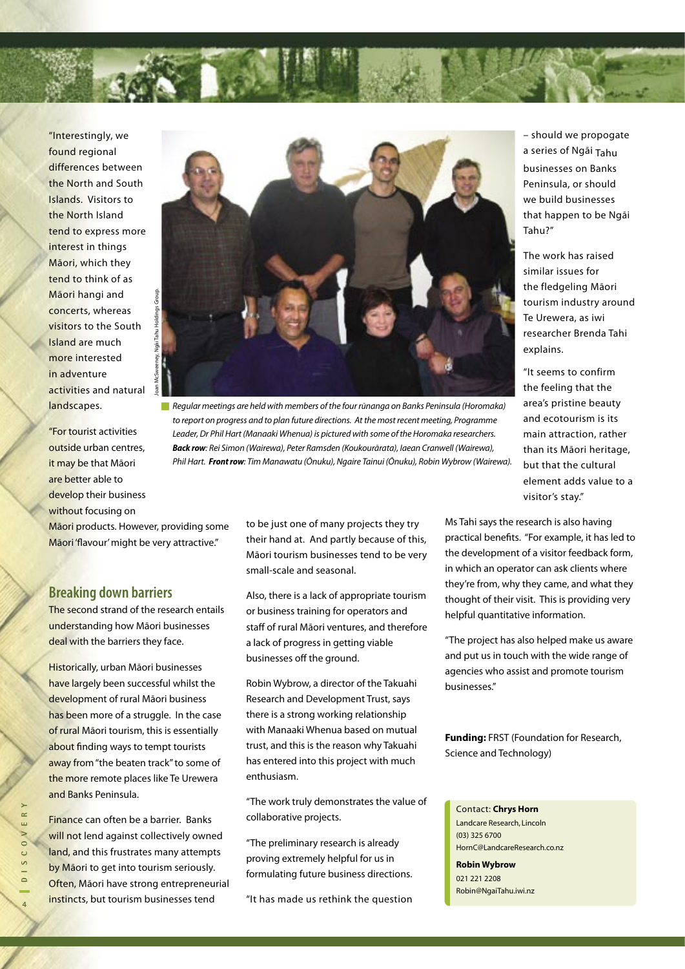"Interestingly, we found regional differences between the North and South Islands. Visitors to the North Island tend to express more interest in things Māori, which they tend to think of as Māori hangi and concerts, whereas visitors to the South Island are much more interested in adventure activities and natural  $\frac{5}{8}$ landscapes.

"For tourist activities outside urban centres, it may be that Māori are better able to develop their business without focusing on



Regular meetings are held with members of the four rūnanga on Banks Peninsula (Horomaka) to report on progress and to plan future directions. At the most recent meeting, Programme Leader, Dr Phil Hart (Manaaki Whenua) is pictured with some of the Horomaka researchers. **Back row**: Rei Simon (Wairewa), Peter Ramsden (Koukourārata), Iaean Cranwell (Wairewa), Phil Hart. **Front row**: Tim Manawatu (Ōnuku), Ngaire Tainui (Ōnuku), Robin Wybrow (Wairewa).

Māori products. However, providing some Māori 'flavour' might be very attractive."

### **Breaking down barriers**

The second strand of the research entails understanding how Māori businesses deal with the barriers they face.

Historically, urban Māori businesses have largely been successful whilst the development of rural Māori business has been more of a struggle. In the case of rural Māori tourism, this is essentially about finding ways to tempt tourists away from "the beaten track" to some of the more remote places like Te Urewera and Banks Peninsula.

Finance can often be a barrier. Banks will not lend against collectively owned land, and this frustrates many attempts by Māori to get into tourism seriously. Often, Māori have strong entrepreneurial instincts, but tourism businesses tend

to be just one of many projects they try their hand at. And partly because of this, Māori tourism businesses tend to be very small-scale and seasonal.

Also, there is a lack of appropriate tourism or business training for operators and staff of rural Māori ventures, and therefore a lack of progress in getting viable businesses off the ground.

Robin Wybrow, a director of the Takuahi Research and Development Trust, says there is a strong working relationship with Manaaki Whenua based on mutual trust, and this is the reason why Takuahi has entered into this project with much enthusiasm.

"The work truly demonstrates the value of collaborative projects.

"The preliminary research is already proving extremely helpful for us in formulating future business directions.

"It has made us rethink the question

– should we propogate a series of Ngāi Tahu businesses on Banks Peninsula, or should we build businesses that happen to be Ngāi Tahu?"

The work has raised similar issues for the fledgeling Māori tourism industry around Te Urewera, as iwi researcher Brenda Tahi explains.

"It seems to confirm the feeling that the area's pristine beauty and ecotourism is its main attraction, rather than its Māori heritage, but that the cultural element adds value to a visitor's stay."

Ms Tahi says the research is also having practical benefits. "For example, it has led to the development of a visitor feedback form, in which an operator can ask clients where they're from, why they came, and what they thought of their visit. This is providing very helpful quantitative information.

"The project has also helped make us aware and put us in touch with the wide range of agencies who assist and promote tourism businesses."

**Funding:** FRST (Foundation for Research, Science and Technology)

#### Contact: **Chrys Horn**

Landcare Research, Lincoln (03) 325 6700 HornC@LandcareResearch.co.nz **Robin Wybrow** 021 221 2208

Robin@NgaiTahu.iwi.nz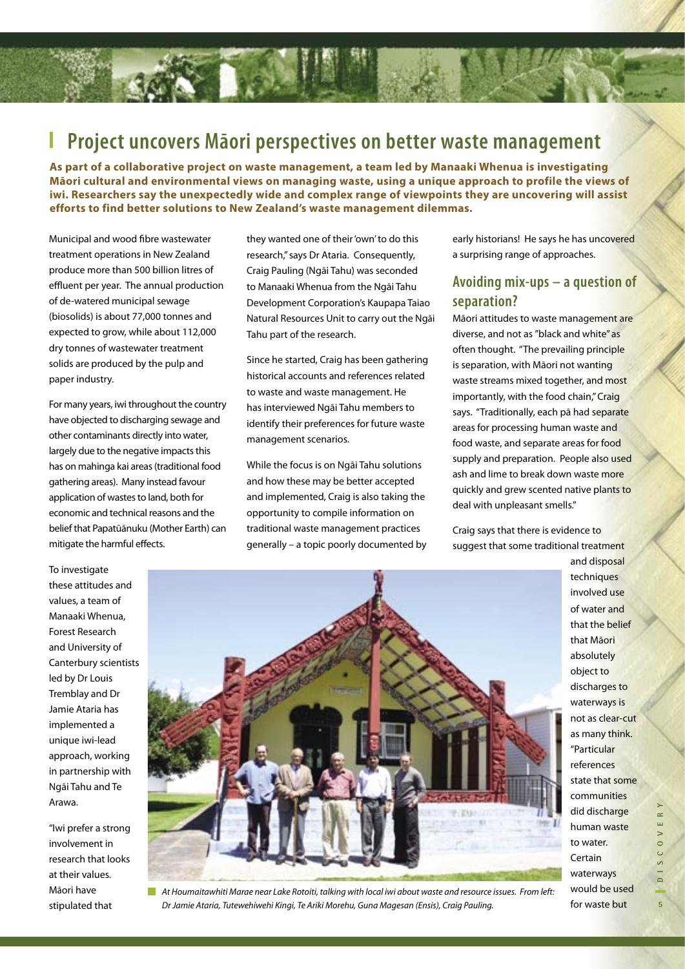#### **Project uncovers Māori perspectives on better waste management** I

**As part of a collaborative project on waste management, a team led by Manaaki Whenua is investigating Māori cultural and environmental views on managing waste, using a unique approach to profile the views of iwi. Researchers say the unexpectedly wide and complex range of viewpoints they are uncovering will assist efforts to find better solutions to New Zealand's waste management dilemmas.**

Municipal and wood fibre wastewater treatment operations in New Zealand produce more than 500 billion litres of effluent per year. The annual production of de-watered municipal sewage (biosolids) is about 77,000 tonnes and expected to grow, while about 112,000 dry tonnes of wastewater treatment solids are produced by the pulp and paper industry.

For many years, iwi throughout the country have objected to discharging sewage and other contaminants directly into water, largely due to the negative impacts this has on mahinga kai areas (traditional food gathering areas). Many instead favour application of wastes to land, both for economic and technical reasons and the belief that Papatūānuku (Mother Earth) can mitigate the harmful effects.

they wanted one of their 'own' to do this research," says Dr Ataria. Consequently, Craig Pauling (Ngāi Tahu) was seconded to Manaaki Whenua from the Ngāi Tahu Development Corporation's Kaupapa Taiao Natural Resources Unit to carry out the Ngāi Tahu part of the research.

Since he started, Craig has been gathering historical accounts and references related to waste and waste management. He has interviewed Ngāi Tahu members to identify their preferences for future waste management scenarios.

While the focus is on Ngāi Tahu solutions and how these may be better accepted and implemented, Craig is also taking the opportunity to compile information on traditional waste management practices generally – a topic poorly documented by early historians! He says he has uncovered a surprising range of approaches.

### **Avoiding mix-ups – a question of separation?**

Māori attitudes to waste management are diverse, and not as "black and white" as often thought. "The prevailing principle is separation, with Māori not wanting waste streams mixed together, and most importantly, with the food chain," Craig says. "Traditionally, each pā had separate areas for processing human waste and food waste, and separate areas for food supply and preparation. People also used ash and lime to break down waste more quickly and grew scented native plants to deal with unpleasant smells."

Craig says that there is evidence to suggest that some traditional treatment

To investigate these attitudes and values, a team of Manaaki Whenua, Forest Research and University of Canterbury scientists led by Dr Louis Tremblay and Dr Jamie Ataria has implemented a unique iwi-lead approach, working in partnership with Ngāi Tahu and Te Arawa.

"Iwi prefer a strong involvement in research that looks at their values. Māori have stipulated that



At Houmaitawhiti Marae near Lake Rotoiti, talking with local iwi about waste and resource issues. From left: Dr Jamie Ataria, Tutewehiwehi Kingi, Te Ariki Morehu, Guna Magesan (Ensis), Craig Pauling.

and disposal techniques involved use of water and that the belief that Māori absolutely object to discharges to waterways is not as clear-cut as many think. "Particular references state that some communities did discharge human waste to water. **Certain** waterways would be used for waste but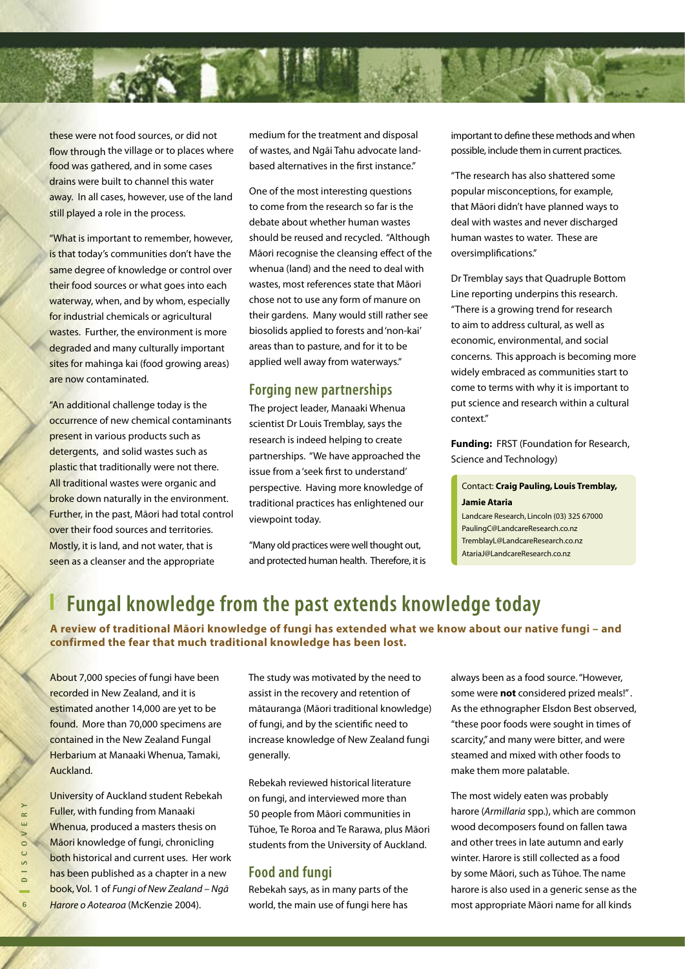

these were not food sources, or did not flow through the village or to places where food was gathered, and in some cases drains were built to channel this water away. In all cases, however, use of the land still played a role in the process.

"What is important to remember, however, is that today's communities don't have the same degree of knowledge or control over their food sources or what goes into each waterway, when, and by whom, especially for industrial chemicals or agricultural wastes. Further, the environment is more degraded and many culturally important sites for mahinga kai (food growing areas) are now contaminated.

"An additional challenge today is the occurrence of new chemical contaminants present in various products such as detergents, and solid wastes such as plastic that traditionally were not there. All traditional wastes were organic and broke down naturally in the environment. Further, in the past, Māori had total control over their food sources and territories. Mostly, it is land, and not water, that is seen as a cleanser and the appropriate

medium for the treatment and disposal of wastes, and Ngāi Tahu advocate landbased alternatives in the first instance."

One of the most interesting questions to come from the research so far is the debate about whether human wastes should be reused and recycled. "Although Māori recognise the cleansing effect of the whenua (land) and the need to deal with wastes, most references state that Māori chose not to use any form of manure on their gardens. Many would still rather see biosolids applied to forests and 'non-kai' areas than to pasture, and for it to be applied well away from waterways."

### **Forging new partnerships**

The project leader, Manaaki Whenua scientist Dr Louis Tremblay, says the research is indeed helping to create partnerships. "We have approached the issue from a 'seek first to understand' perspective. Having more knowledge of traditional practices has enlightened our viewpoint today.

"Many old practices were well thought out, and protected human health. Therefore, it is important to define these methods and when possible, include them in current practices.

"The research has also shattered some popular misconceptions, for example, that Māori didn't have planned ways to deal with wastes and never discharged human wastes to water. These are oversimplifications."

Dr Tremblay says that Quadruple Bottom Line reporting underpins this research. "There is a growing trend for research to aim to address cultural, as well as economic, environmental, and social concerns. This approach is becoming more widely embraced as communities start to come to terms with why it is important to put science and research within a cultural context."

**Funding:** FRST (Foundation for Research, Science and Technology)

#### Contact: **Craig Pauling, Louis Tremblay, Jamie Ataria**

Landcare Research, Lincoln (03) 325 67000 PaulingC@LandcareResearch.co.nz TremblayL@LandcareResearch.co.nz AtariaJ@LandcareResearch.co.nz

# **Fungal knowledge from the past extends knowledge today**

**A review of traditional Māori knowledge of fungi has extended what we know about our native fungi – and confirmed the fear that much traditional knowledge has been lost.**

About 7,000 species of fungi have been recorded in New Zealand, and it is estimated another 14,000 are yet to be found. More than 70,000 specimens are contained in the New Zealand Fungal Herbarium at Manaaki Whenua, Tamaki, Auckland.

The study was motivated by the need to assist in the recovery and retention of mātauranga (Māori traditional knowledge) of fungi, and by the scientific need to increase knowledge of New Zealand fungi generally.

Rebekah reviewed historical literature on fungi, and interviewed more than 50 people from Māori communities in Tūhoe, Te Roroa and Te Rarawa, plus Māori students from the University of Auckland.

### **Food and fungi**

Rebekah says, as in many parts of the world, the main use of fungi here has always been as a food source. "However, some were **not** considered prized meals!" . As the ethnographer Elsdon Best observed, "these poor foods were sought in times of scarcity," and many were bitter, and were steamed and mixed with other foods to make them more palatable.

The most widely eaten was probably harore (Armillaria spp.), which are common wood decomposers found on fallen tawa and other trees in late autumn and early winter. Harore is still collected as a food by some Māori, such as Tūhoe. The name harore is also used in a generic sense as the most appropriate Māori name for all kinds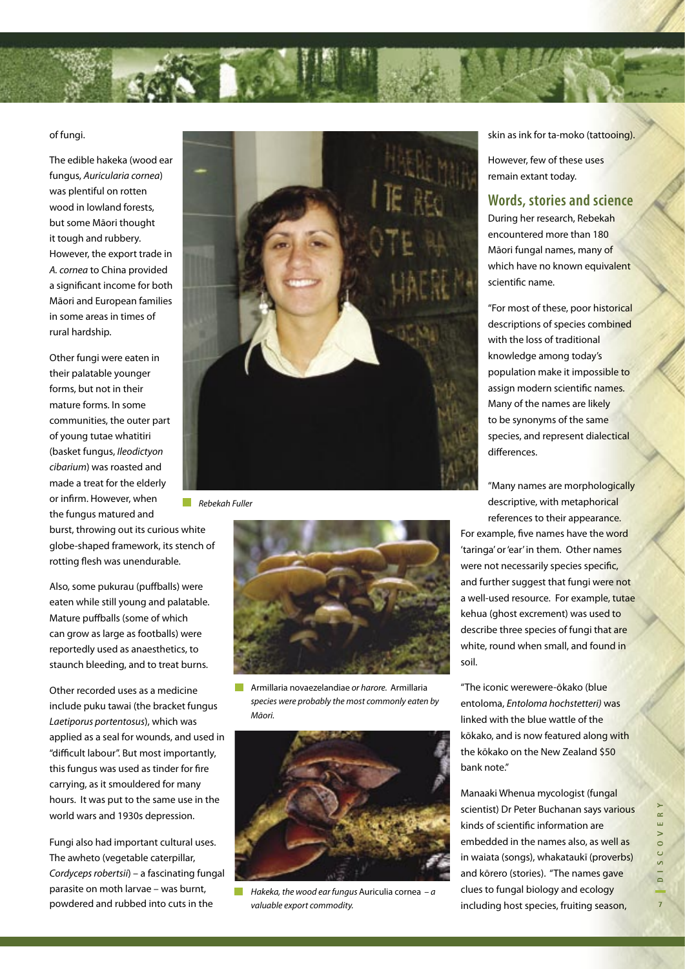

#### of fungi.

The edible hakeka (wood ear fungus, Auricularia cornea) was plentiful on rotten wood in lowland forests, but some Māori thought it tough and rubbery. However, the export trade in A. cornea to China provided a significant income for both Māori and European families in some areas in times of rural hardship.

Other fungi were eaten in their palatable younger forms, but not in their mature forms. In some communities, the outer part of young tutae whatitiri (basket fungus, Ileodictyon cibarium) was roasted and made a treat for the elderly or infirm. However, when the fungus matured and

burst, throwing out its curious white globe-shaped framework, its stench of rotting flesh was unendurable.

Also, some pukurau (puffballs) were eaten while still young and palatable. Mature puffballs (some of which can grow as large as footballs) were reportedly used as anaesthetics, to staunch bleeding, and to treat burns.

Other recorded uses as a medicine include puku tawai (the bracket fungus Laetiporus portentosus), which was applied as a seal for wounds, and used in "difficult labour". But most importantly, this fungus was used as tinder for fire carrying, as it smouldered for many hours. It was put to the same use in the world wars and 1930s depression.

Fungi also had important cultural uses. The awheto (vegetable caterpillar, Cordyceps robertsii) – a fascinating fungal parasite on moth larvae – was burnt, powdered and rubbed into cuts in the



 $\blacksquare$  Rebekah Fuller



Armillaria novaezelandiae or harore. Armillaria species were probably the most commonly eaten by Māori.



Hakeka, the wood ear fungus Auriculia cornea  $-a$ valuable export commodity.

skin as ink for ta-moko (tattooing).

However, few of these uses remain extant today.

### **Words, stories and science**

During her research, Rebekah encountered more than 180 Māori fungal names, many of which have no known equivalent scientific name.

"For most of these, poor historical descriptions of species combined with the loss of traditional knowledge among today's population make it impossible to assign modern scientific names. Many of the names are likely to be synonyms of the same species, and represent dialectical differences.

"Many names are morphologically descriptive, with metaphorical references to their appearance.

For example, five names have the word 'taringa' or 'ear' in them. Other names were not necessarily species specific, and further suggest that fungi were not a well-used resource. For example, tutae kehua (ghost excrement) was used to describe three species of fungi that are white, round when small, and found in soil.

"The iconic werewere-ōkako (blue entoloma, Entoloma hochstetteri) was linked with the blue wattle of the kōkako, and is now featured along with the kōkako on the New Zealand \$50 bank note."

Manaaki Whenua mycologist (fungal scientist) Dr Peter Buchanan says various kinds of scientific information are embedded in the names also, as well as in waiata (songs), whakataukī (proverbs) and kōrero (stories). "The names gave clues to fungal biology and ecology including host species, fruiting season,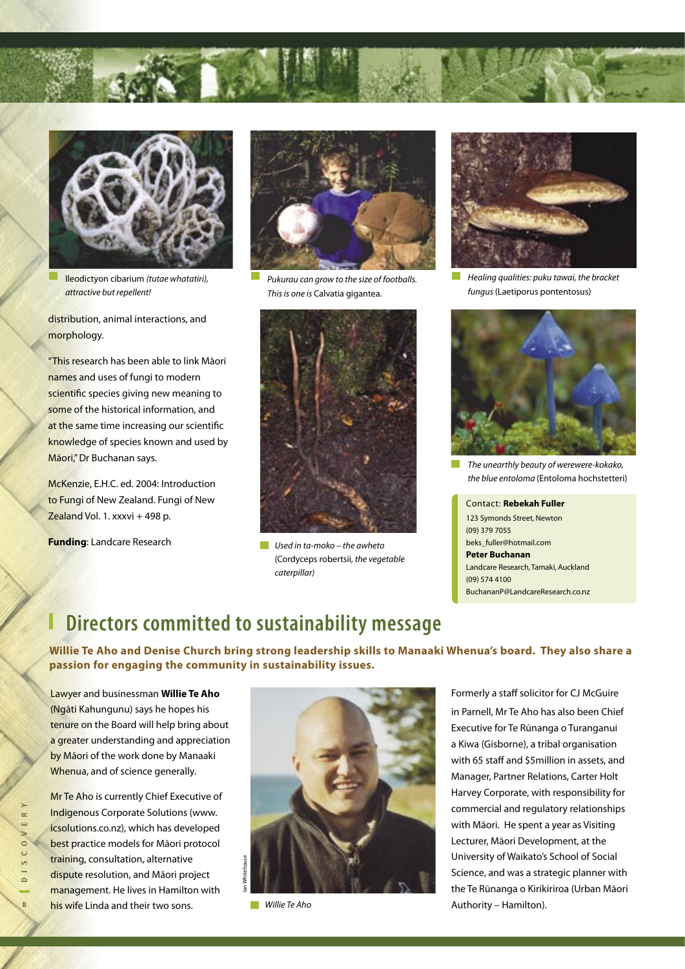

Ileodictyon cibarium (tutae whatatiri), attractive but repellent!

distribution, animal interactions, and morphology.

"This research has been able to link Māori names and uses of fungi to modern scientific species giving new meaning to some of the historical information, and at the same time increasing our scientific knowledge of species known and used by Māori," Dr Buchanan says.

McKenzie, E.H.C. ed. 2004: Introduction to Fungi of New Zealand. Fungi of New Zealand Vol. 1. xxxvi + 498 p.

**Funding**: Landcare Research



Pukurau can grow to the size of footballs. This is one is Calvatia gigantea.



 $\blacksquare$  Used in ta-moko – the awheto (Cordyceps robertsii, the vegetable caterpillar)



Healing qualities: puku tawai, the bracket fungus (Laetiporus pontentosus)



The unearthly beauty of werewere-kokako, the blue entoloma (Entoloma hochstetteri)

 123 Symonds Street, Newton Contact: **Rebekah Fuller**  (09) 379 7055 beks\_fuller@hotmail.com **Peter Buchanan** Landcare Research, Tamaki, Auckland (09) 574 4100 BuchananP@LandcareResearch.co.nz

### **Directors committed to sustainability message**

**Willie Te Aho and Denise Church bring strong leadership skills to Manaaki Whenua's board. They also share a passion for engaging the community in sustainability issues.**

Lawyer and businessman **Willie Te Aho** (Ngāti Kahungunu) says he hopes his tenure on the Board will help bring about a greater understanding and appreciation by Māori of the work done by Manaaki Whenua, and of science generally.

**Mr** Te Aho is currently Chief Executive of Indigenous Corporate Solutions (www. icsolutions.co.nz), which has developed best practice models for Māori protocol training, consultation, alternative dispute resolution, and Māori project management. He lives in Hamilton with his wife Linda and their two sons.



**Willie Te Aho** 

Formerly a staff solicitor for CJ McGuire in Parnell, Mr Te Aho has also been Chief Executive for Te Rūnanga o Turanganui a Kiwa (Gisborne), a tribal organisation with 65 staff and \$5million in assets, and Manager, Partner Relations, Carter Holt Harvey Corporate, with responsibility for commercial and regulatory relationships with Māori. He spent a year as Visiting Lecturer, Māori Development, at the University of Waikato's School of Social Science, and was a strategic planner with the Te Rūnanga o Kirikiriroa (Urban Māori Authority – Hamilton).

**8D I S C O V E R Y**  $\approx$  $\sim 0$  $0 1 S C$  $\overline{\mathbf{8}}$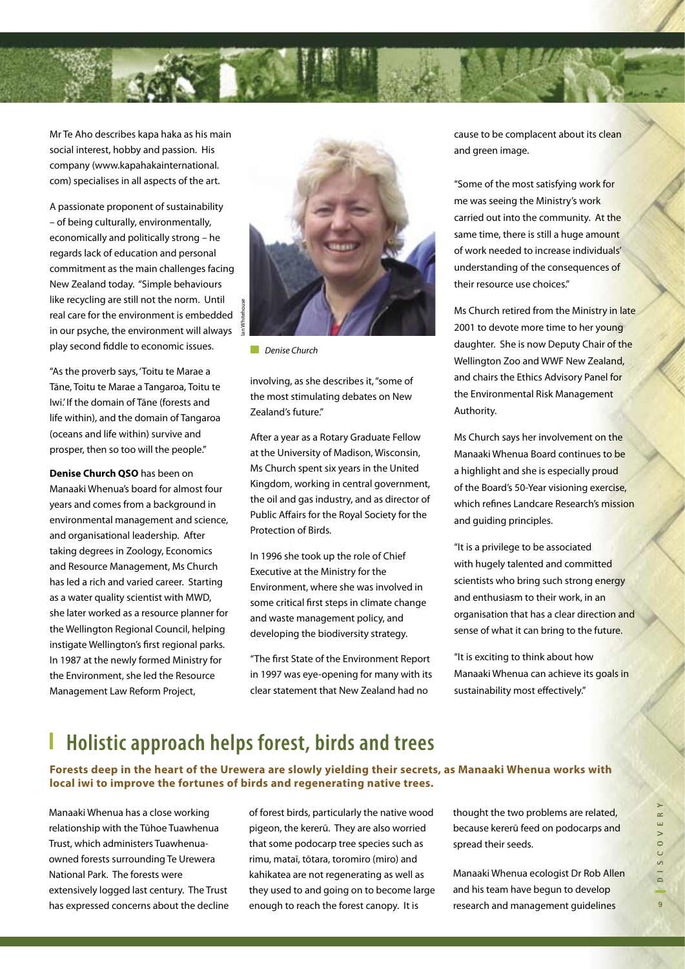

Mr Te Aho describes kapa haka as his main social interest, hobby and passion. His company (www.kapahakainternational. com) specialises in all aspects of the art.

A passionate proponent of sustainability – of being culturally, environmentally, economically and politically strong – he regards lack of education and personal commitment as the main challenges facing New Zealand today. "Simple behaviours like recycling are still not the norm. Until real care for the environment is embedded in our psyche, the environment will always play second fiddle to economic issues.

"As the proverb says, 'Toitu te Marae a Tāne, Toitu te Marae a Tangaroa, Toitu te Iwi.' If the domain of Tāne (forests and life within), and the domain of Tangaroa (oceans and life within) survive and prosper, then so too will the people."

**Denise Church QSO** has been on Manaaki Whenua's board for almost four years and comes from a background in environmental management and science, and organisational leadership. After taking degrees in Zoology, Economics and Resource Management, Ms Church has led a rich and varied career. Starting as a water quality scientist with MWD, she later worked as a resource planner for the Wellington Regional Council, helping instigate Wellington's first regional parks. In 1987 at the newly formed Ministry for the Environment, she led the Resource Management Law Reform Project,



Denise Church

involving, as she describes it, "some of the most stimulating debates on New Zealand's future."

After a year as a Rotary Graduate Fellow at the University of Madison, Wisconsin, Ms Church spent six years in the United Kingdom, working in central government, the oil and gas industry, and as director of Public Affairs for the Royal Society for the Protection of Birds.

In 1996 she took up the role of Chief Executive at the Ministry for the Environment, where she was involved in some critical first steps in climate change and waste management policy, and developing the biodiversity strategy.

"The first State of the Environment Report in 1997 was eye-opening for many with its clear statement that New Zealand had no

cause to be complacent about its clean and green image.

"Some of the most satisfying work for me was seeing the Ministry's work carried out into the community. At the same time, there is still a huge amount of work needed to increase individuals' understanding of the consequences of their resource use choices."

Ms Church retired from the Ministry in late 2001 to devote more time to her young daughter. She is now Deputy Chair of the Wellington Zoo and WWF New Zealand, and chairs the Ethics Advisory Panel for the Environmental Risk Management Authority.

Ms Church says her involvement on the Manaaki Whenua Board continues to be a highlight and she is especially proud of the Board's 50-Year visioning exercise, which refines Landcare Research's mission and guiding principles.

"It is a privilege to be associated with hugely talented and committed scientists who bring such strong energy and enthusiasm to their work, in an organisation that has a clear direction and sense of what it can bring to the future.

"It is exciting to think about how Manaaki Whenua can achieve its goals in sustainability most effectively."

# **Holistic approach helps forest, birds and trees**

**Forests deep in the heart of the Urewera are slowly yielding their secrets, as Manaaki Whenua works with local iwi to improve the fortunes of birds and regenerating native trees.**

Manaaki Whenua has a close working relationship with the Tūhoe Tuawhenua Trust, which administers Tuawhenuaowned forests surrounding Te Urewera National Park. The forests were extensively logged last century. The Trust has expressed concerns about the decline of forest birds, particularly the native wood pigeon, the kererū. They are also worried that some podocarp tree species such as rimu, mataī, tōtara, toromiro (miro) and kahikatea are not regenerating as well as they used to and going on to become large enough to reach the forest canopy. It is

thought the two problems are related, because kererū feed on podocarps and spread their seeds.

Manaaki Whenua ecologist Dr Rob Allen and his team have begun to develop research and management guidelines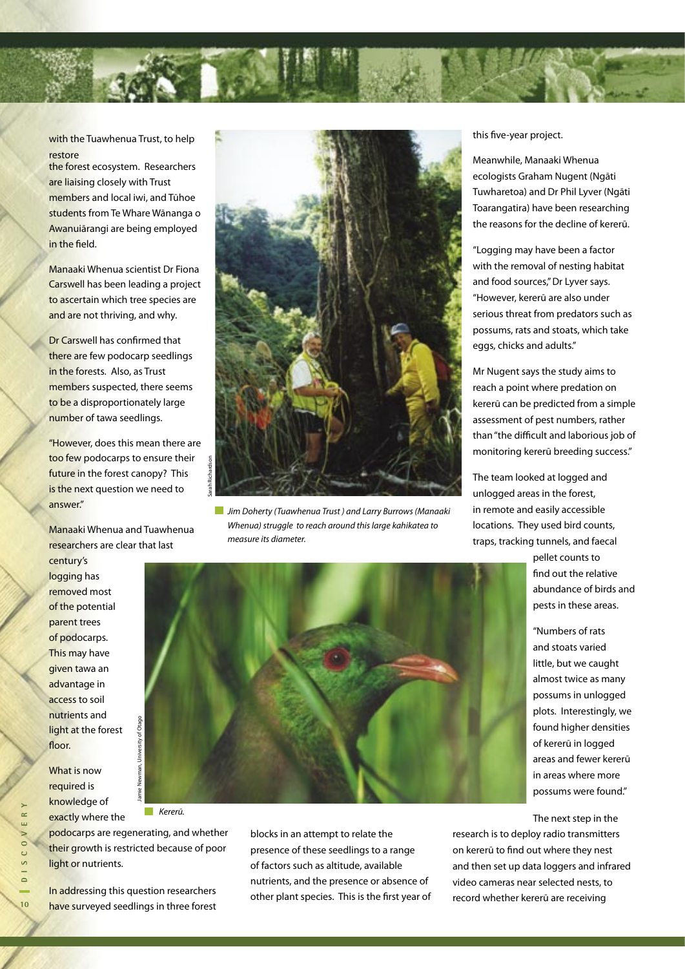

with the Tuawhenua Trust, to help restore

the forest ecosystem. Researchers are liaising closely with Trust members and local iwi, and Tūhoe students from Te Whare Wānanga o Awanuiārangi are being employed in the field.

Manaaki Whenua scientist Dr Fiona Carswell has been leading a project to ascertain which tree species are and are not thriving, and why.

Dr Carswell has confirmed that there are few podocarp seedlings in the forests. Also, as Trust members suspected, there seems to be a disproportionately large number of tawa seedlings.

"However, does this mean there are too few podocarps to ensure their future in the forest canopy? This is the next question we need to answer."

Manaaki Whenua and Tuawhenua researchers are clear that last

century's logging has removed most of the potential parent trees of podocarps. This may have given tawa an advantage in access to soil nutrients and light at the forest floor.

What is now required is knowledge of exactly where the

Kererū.  $\sim$ 

podocarps are regenerating, and whether their growth is restricted because of poor light or nutrients.

In addressing this question researchers have surveyed seedlings in three forest



**Jim Doherty (Tuawhenua Trust) and Larry Burrows (Manaaki** Whenua) struggle to reach around this large kahikatea to measure its diameter.

this five-year project.

Meanwhile, Manaaki Whenua ecologists Graham Nugent (Ngāti Tuwharetoa) and Dr Phil Lyver (Ngāti Toarangatira) have been researching the reasons for the decline of kererū.

"Logging may have been a factor with the removal of nesting habitat and food sources," Dr Lyver says. "However, kererū are also under serious threat from predators such as possums, rats and stoats, which take eggs, chicks and adults."

Mr Nugent says the study aims to reach a point where predation on kererū can be predicted from a simple assessment of pest numbers, rather than "the difficult and laborious job of monitoring kererū breeding success."

The team looked at logged and unlogged areas in the forest, in remote and easily accessible locations. They used bird counts, traps, tracking tunnels, and faecal

> pellet counts to find out the relative abundance of birds and pests in these areas.

"Numbers of rats and stoats varied little, but we caught almost twice as many possums in unlogged plots. Interestingly, we found higher densities of kererū in logged areas and fewer kererū in areas where more possums were found."

The next step in the

research is to deploy radio transmitters on kererū to find out where they nest and then set up data loggers and infrared video cameras near selected nests, to record whether kererū are receiving



blocks in an attempt to relate the presence of these seedlings to a range of factors such as altitude, available nutrients, and the presence or absence of other plant species. This is the first year of

**10D I S C O V E R Y**  $\approx$  $\circ$ S C  $\overline{\phantom{a}}$  $10$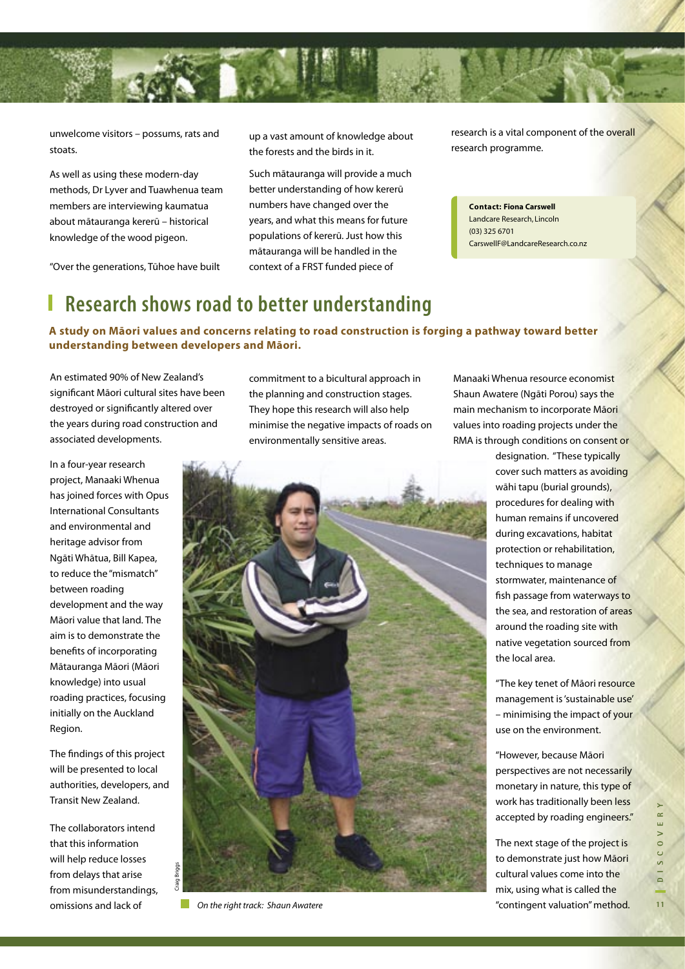

unwelcome visitors – possums, rats and stoats.

As well as using these modern-day methods, Dr Lyver and Tuawhenua team members are interviewing kaumatua about mātauranga kererū – historical knowledge of the wood pigeon.

"Over the generations, Tūhoe have built

up a vast amount of knowledge about the forests and the birds in it.

Such mātauranga will provide a much better understanding of how kererū numbers have changed over the years, and what this means for future populations of kererū. Just how this mātauranga will be handled in the context of a FRST funded piece of

research is a vital component of the overall research programme.

**Contact: Fiona Carswell** Landcare Research, Lincoln (03) 325 6701 CarswellF@LandcareResearch.co.nz

# **Research shows road to better understanding**

**A study on Māori values and concerns relating to road construction is forging a pathway toward better understanding between developers and Māori.**

An estimated 90% of New Zealand's significant Māori cultural sites have been destroyed or significantly altered over the years during road construction and associated developments.

In a four-year research project, Manaaki Whenua has joined forces with Opus International Consultants and environmental and heritage advisor from Ngāti Whātua, Bill Kapea, to reduce the "mismatch" between roading development and the way Māori value that land. The aim is to demonstrate the benefits of incorporating Mātauranga Māori (Māori knowledge) into usual roading practices, focusing initially on the Auckland Region.

The findings of this project will be presented to local authorities, developers, and Transit New Zealand.

The collaborators intend that this information will help reduce losses from delays that arise from misunderstandings, omissions and lack of

Craig Briggs

commitment to a bicultural approach in the planning and construction stages. They hope this research will also help minimise the negative impacts of roads on environmentally sensitive areas.



On the right track: Shaun Awatere

Manaaki Whenua resource economist Shaun Awatere (Ngāti Porou) says the main mechanism to incorporate Māori values into roading projects under the RMA is through conditions on consent or

> designation. "These typically cover such matters as avoiding wāhi tapu (burial grounds), procedures for dealing with human remains if uncovered during excavations, habitat protection or rehabilitation, techniques to manage stormwater, maintenance of fish passage from waterways to the sea, and restoration of areas around the roading site with native vegetation sourced from the local area.

"The key tenet of Māori resource management is 'sustainable use' – minimising the impact of your use on the environment.

"However, because Māori perspectives are not necessarily monetary in nature, this type of work has traditionally been less accepted by roading engineers."

The next stage of the project is to demonstrate just how Māori cultural values come into the mix, using what is called the "contingent valuation" method.